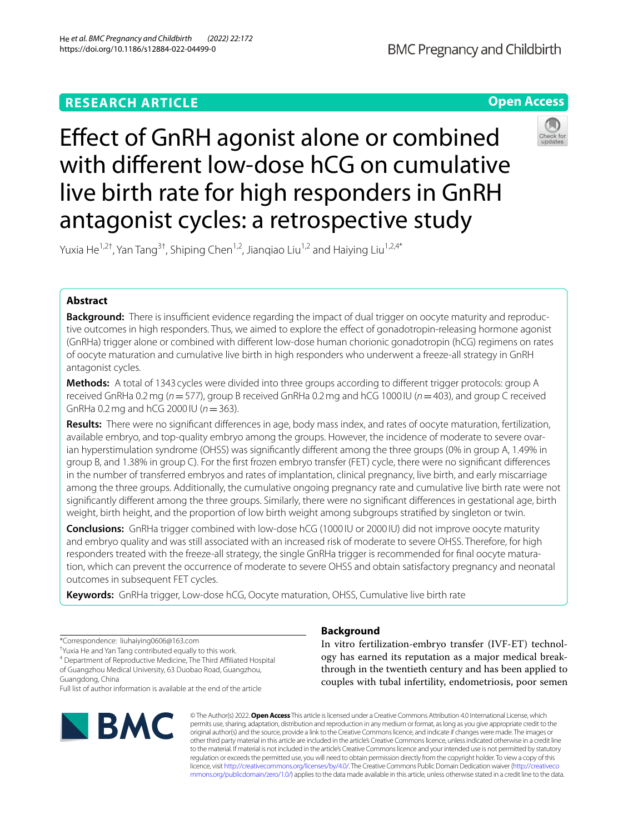# **RESEARCH ARTICLE**

**Open Access**

# Efect of GnRH agonist alone or combined with diferent low-dose hCG on cumulative live birth rate for high responders in GnRH antagonist cycles: a retrospective study



Yuxia He<sup>1,2†</sup>, Yan Tang<sup>3†</sup>, Shiping Chen<sup>1,2</sup>, Jiangiao Liu<sup>1,2</sup> and Haiying Liu<sup>1,2,4\*</sup>

# **Abstract**

**Background:** There is insufficient evidence regarding the impact of dual trigger on oocyte maturity and reproductive outcomes in high responders. Thus, we aimed to explore the efect of gonadotropin-releasing hormone agonist (GnRHa) trigger alone or combined with diferent low-dose human chorionic gonadotropin (hCG) regimens on rates of oocyte maturation and cumulative live birth in high responders who underwent a freeze-all strategy in GnRH antagonist cycles.

**Methods:** A total of 1343 cycles were divided into three groups according to diferent trigger protocols: group A received GnRHa 0.2mg (*n*=577), group B received GnRHa 0.2mg and hCG 1000 IU (*n*=403), and group C received GnRHa 0.2mg and hCG 2000 IU (*n*=363).

**Results:** There were no signifcant diferences in age, body mass index, and rates of oocyte maturation, fertilization, available embryo, and top-quality embryo among the groups. However, the incidence of moderate to severe ovarian hyperstimulation syndrome (OHSS) was signifcantly diferent among the three groups (0% in group A, 1.49% in group B, and 1.38% in group C). For the frst frozen embryo transfer (FET) cycle, there were no signifcant diferences in the number of transferred embryos and rates of implantation, clinical pregnancy, live birth, and early miscarriage among the three groups. Additionally, the cumulative ongoing pregnancy rate and cumulative live birth rate were not signifcantly diferent among the three groups. Similarly, there were no signifcant diferences in gestational age, birth weight, birth height, and the proportion of low birth weight among subgroups stratifed by singleton or twin.

**Conclusions:** GnRHa trigger combined with low-dose hCG (1000 IU or 2000 IU) did not improve oocyte maturity and embryo quality and was still associated with an increased risk of moderate to severe OHSS. Therefore, for high responders treated with the freeze-all strategy, the single GnRHa trigger is recommended for fnal oocyte maturation, which can prevent the occurrence of moderate to severe OHSS and obtain satisfactory pregnancy and neonatal outcomes in subsequent FET cycles.

**Keywords:** GnRHa trigger, Low-dose hCG, Oocyte maturation, OHSS, Cumulative live birth rate

\*Correspondence: liuhaiying0606@163.com

† Yuxia He and Yan Tang contributed equally to this work.

<sup>4</sup> Department of Reproductive Medicine, The Third Affiliated Hospital of Guangzhou Medical University, 63 Duobao Road, Guangzhou, Guangdong, China

Full list of author information is available at the end of the article



# **Background**

In vitro fertilization-embryo transfer (IVF-ET) technology has earned its reputation as a major medical breakthrough in the twentieth century and has been applied to couples with tubal infertility, endometriosis, poor semen

© The Author(s) 2022. **Open Access** This article is licensed under a Creative Commons Attribution 4.0 International License, which permits use, sharing, adaptation, distribution and reproduction in any medium or format, as long as you give appropriate credit to the original author(s) and the source, provide a link to the Creative Commons licence, and indicate if changes were made. The images or other third party material in this article are included in the article's Creative Commons licence, unless indicated otherwise in a credit line to the material. If material is not included in the article's Creative Commons licence and your intended use is not permitted by statutory regulation or exceeds the permitted use, you will need to obtain permission directly from the copyright holder. To view a copy of this licence, visit [http://creativecommons.org/licenses/by/4.0/.](http://creativecommons.org/licenses/by/4.0/) The Creative Commons Public Domain Dedication waiver ([http://creativeco](http://creativecommons.org/publicdomain/zero/1.0/) [mmons.org/publicdomain/zero/1.0/](http://creativecommons.org/publicdomain/zero/1.0/)) applies to the data made available in this article, unless otherwise stated in a credit line to the data.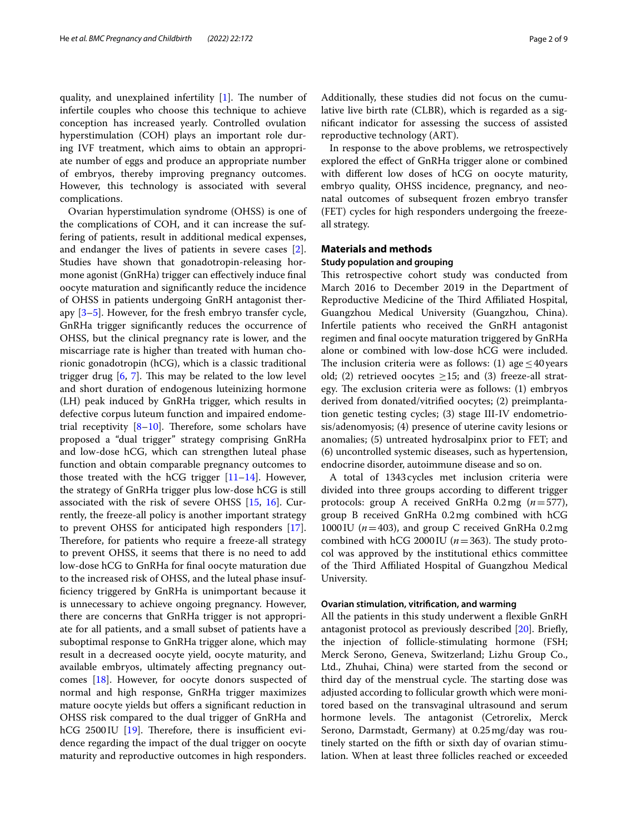quality, and unexplained infertility  $[1]$  $[1]$ . The number of infertile couples who choose this technique to achieve conception has increased yearly. Controlled ovulation hyperstimulation (COH) plays an important role during IVF treatment, which aims to obtain an appropriate number of eggs and produce an appropriate number of embryos, thereby improving pregnancy outcomes. However, this technology is associated with several complications.

Ovarian hyperstimulation syndrome (OHSS) is one of the complications of COH, and it can increase the suffering of patients, result in additional medical expenses, and endanger the lives of patients in severe cases [\[2](#page-7-1)]. Studies have shown that gonadotropin-releasing hormone agonist (GnRHa) trigger can efectively induce fnal oocyte maturation and signifcantly reduce the incidence of OHSS in patients undergoing GnRH antagonist therapy  $[3-5]$  $[3-5]$ . However, for the fresh embryo transfer cycle, GnRHa trigger signifcantly reduces the occurrence of OHSS, but the clinical pregnancy rate is lower, and the miscarriage rate is higher than treated with human chorionic gonadotropin (hCG), which is a classic traditional trigger drug  $[6, 7]$  $[6, 7]$  $[6, 7]$  $[6, 7]$  $[6, 7]$ . This may be related to the low level and short duration of endogenous luteinizing hormone (LH) peak induced by GnRHa trigger, which results in defective corpus luteum function and impaired endometrial receptivity  $[8-10]$  $[8-10]$  $[8-10]$ . Therefore, some scholars have proposed a "dual trigger" strategy comprising GnRHa and low-dose hCG, which can strengthen luteal phase function and obtain comparable pregnancy outcomes to those treated with the hCG trigger  $[11-14]$  $[11-14]$ . However, the strategy of GnRHa trigger plus low-dose hCG is still associated with the risk of severe OHSS [\[15,](#page-8-1) [16](#page-8-2)]. Currently, the freeze-all policy is another important strategy to prevent OHSS for anticipated high responders [\[17](#page-8-3)]. Therefore, for patients who require a freeze-all strategy to prevent OHSS, it seems that there is no need to add low-dose hCG to GnRHa for fnal oocyte maturation due to the increased risk of OHSS, and the luteal phase insuffciency triggered by GnRHa is unimportant because it is unnecessary to achieve ongoing pregnancy. However, there are concerns that GnRHa trigger is not appropriate for all patients, and a small subset of patients have a suboptimal response to GnRHa trigger alone, which may result in a decreased oocyte yield, oocyte maturity, and available embryos, ultimately afecting pregnancy outcomes [[18\]](#page-8-4). However, for oocyte donors suspected of normal and high response, GnRHa trigger maximizes mature oocyte yields but offers a significant reduction in OHSS risk compared to the dual trigger of GnRHa and  $hCG 2500$  IU [\[19](#page-8-5)]. Therefore, there is insufficient evidence regarding the impact of the dual trigger on oocyte maturity and reproductive outcomes in high responders.

Additionally, these studies did not focus on the cumulative live birth rate (CLBR), which is regarded as a signifcant indicator for assessing the success of assisted reproductive technology (ART).

In response to the above problems, we retrospectively explored the efect of GnRHa trigger alone or combined with diferent low doses of hCG on oocyte maturity, embryo quality, OHSS incidence, pregnancy, and neonatal outcomes of subsequent frozen embryo transfer (FET) cycles for high responders undergoing the freezeall strategy.

## **Materials and methods**

# **Study population and grouping**

This retrospective cohort study was conducted from March 2016 to December 2019 in the Department of Reproductive Medicine of the Third Affiliated Hospital, Guangzhou Medical University (Guangzhou, China). Infertile patients who received the GnRH antagonist regimen and fnal oocyte maturation triggered by GnRHa alone or combined with low-dose hCG were included. The inclusion criteria were as follows:  $(1)$  age  $\leq 40$  years old; (2) retrieved oocytes  $\geq$ 15; and (3) freeze-all strategy. The exclusion criteria were as follows:  $(1)$  embryos derived from donated/vitrifed oocytes; (2) preimplantation genetic testing cycles; (3) stage III-IV endometriosis/adenomyosis; (4) presence of uterine cavity lesions or anomalies; (5) untreated hydrosalpinx prior to FET; and (6) uncontrolled systemic diseases, such as hypertension, endocrine disorder, autoimmune disease and so on.

A total of 1343cycles met inclusion criteria were divided into three groups according to diferent trigger protocols: group A received GnRHa 0.2mg (*n*=577), group B received GnRHa 0.2mg combined with hCG 1000 IU ( $n=403$ ), and group C received GnRHa 0.2mg combined with hCG 2000IU ( $n=363$ ). The study protocol was approved by the institutional ethics committee of the Third Affiliated Hospital of Guangzhou Medical University.

# **Ovarian stimulation, vitrifcation, and warming**

All the patients in this study underwent a fexible GnRH antagonist protocol as previously described [[20](#page-8-6)]. Briefy, the injection of follicle-stimulating hormone (FSH; Merck Serono, Geneva, Switzerland; Lizhu Group Co., Ltd., Zhuhai, China) were started from the second or third day of the menstrual cycle. The starting dose was adjusted according to follicular growth which were monitored based on the transvaginal ultrasound and serum hormone levels. The antagonist (Cetrorelix, Merck Serono, Darmstadt, Germany) at 0.25mg/day was routinely started on the ffth or sixth day of ovarian stimulation. When at least three follicles reached or exceeded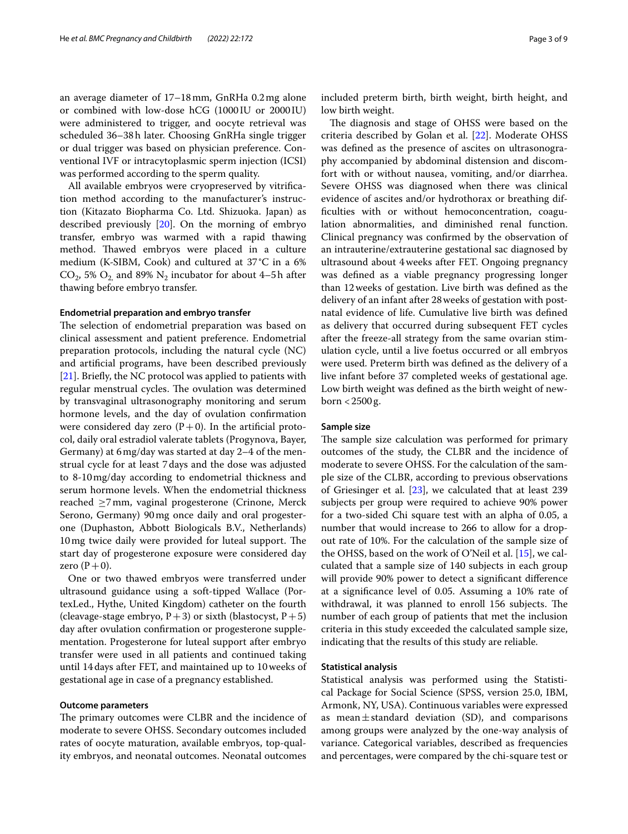an average diameter of 17–18mm, GnRHa 0.2mg alone or combined with low-dose hCG (1000 IU or 2000IU) were administered to trigger, and oocyte retrieval was scheduled 36–38h later. Choosing GnRHa single trigger or dual trigger was based on physician preference. Conventional IVF or intracytoplasmic sperm injection (ICSI) was performed according to the sperm quality.

All available embryos were cryopreserved by vitrifcation method according to the manufacturer's instruction (Kitazato Biopharma Co. Ltd. Shizuoka. Japan) as described previously [\[20\]](#page-8-6). On the morning of embryo transfer, embryo was warmed with a rapid thawing method. Thawed embryos were placed in a culture medium (K-SIBM, Cook) and cultured at 37°C in a 6%  $CO_2$ , 5%  $O_2$  and 89%  $N_2$  incubator for about 4–5h after thawing before embryo transfer.

#### **Endometrial preparation and embryo transfer**

The selection of endometrial preparation was based on clinical assessment and patient preference. Endometrial preparation protocols, including the natural cycle (NC) and artifcial programs, have been described previously [[21\]](#page-8-7). Briefly, the NC protocol was applied to patients with regular menstrual cycles. The ovulation was determined by transvaginal ultrasonography monitoring and serum hormone levels, and the day of ovulation confrmation were considered day zero  $(P+0)$ . In the artificial protocol, daily oral estradiol valerate tablets (Progynova, Bayer, Germany) at 6mg/day was started at day 2–4 of the menstrual cycle for at least 7days and the dose was adjusted to 8-10mg/day according to endometrial thickness and serum hormone levels. When the endometrial thickness reached ≥7mm, vaginal progesterone (Crinone, Merck Serono, Germany) 90mg once daily and oral progesterone (Duphaston, Abbott Biologicals B.V., Netherlands) 10 mg twice daily were provided for luteal support. The start day of progesterone exposure were considered day zero  $(P+0)$ .

One or two thawed embryos were transferred under ultrasound guidance using a soft-tipped Wallace (PortexLed., Hythe, United Kingdom) catheter on the fourth (cleavage-stage embryo,  $P+3$ ) or sixth (blastocyst,  $P+5$ ) day after ovulation confrmation or progesterone supplementation. Progesterone for luteal support after embryo transfer were used in all patients and continued taking until 14days after FET, and maintained up to 10weeks of gestational age in case of a pregnancy established.

# **Outcome parameters**

The primary outcomes were CLBR and the incidence of moderate to severe OHSS. Secondary outcomes included rates of oocyte maturation, available embryos, top-quality embryos, and neonatal outcomes. Neonatal outcomes included preterm birth, birth weight, birth height, and low birth weight.

The diagnosis and stage of OHSS were based on the criteria described by Golan et al. [[22\]](#page-8-8). Moderate OHSS was defned as the presence of ascites on ultrasonography accompanied by abdominal distension and discomfort with or without nausea, vomiting, and/or diarrhea. Severe OHSS was diagnosed when there was clinical evidence of ascites and/or hydrothorax or breathing difficulties with or without hemoconcentration, coagulation abnormalities, and diminished renal function. Clinical pregnancy was confrmed by the observation of an intrauterine/extrauterine gestational sac diagnosed by ultrasound about 4weeks after FET. Ongoing pregnancy was defned as a viable pregnancy progressing longer than 12weeks of gestation. Live birth was defned as the delivery of an infant after 28weeks of gestation with postnatal evidence of life. Cumulative live birth was defned as delivery that occurred during subsequent FET cycles after the freeze-all strategy from the same ovarian stimulation cycle, until a live foetus occurred or all embryos were used. Preterm birth was defned as the delivery of a live infant before 37 completed weeks of gestational age. Low birth weight was defned as the birth weight of newborn <2500g.

#### **Sample size**

The sample size calculation was performed for primary outcomes of the study, the CLBR and the incidence of moderate to severe OHSS. For the calculation of the sample size of the CLBR, according to previous observations of Griesinger et al. [[23\]](#page-8-9), we calculated that at least 239 subjects per group were required to achieve 90% power for a two-sided Chi square test with an alpha of 0.05, a number that would increase to 266 to allow for a dropout rate of 10%. For the calculation of the sample size of the OHSS, based on the work of O'Neil et al. [\[15\]](#page-8-1), we calculated that a sample size of 140 subjects in each group will provide 90% power to detect a signifcant diference at a signifcance level of 0.05. Assuming a 10% rate of withdrawal, it was planned to enroll 156 subjects. The number of each group of patients that met the inclusion criteria in this study exceeded the calculated sample size, indicating that the results of this study are reliable.

# **Statistical analysis**

Statistical analysis was performed using the Statistical Package for Social Science (SPSS, version 25.0, IBM, Armonk, NY, USA). Continuous variables were expressed as mean $\pm$ standard deviation (SD), and comparisons among groups were analyzed by the one-way analysis of variance. Categorical variables, described as frequencies and percentages, were compared by the chi-square test or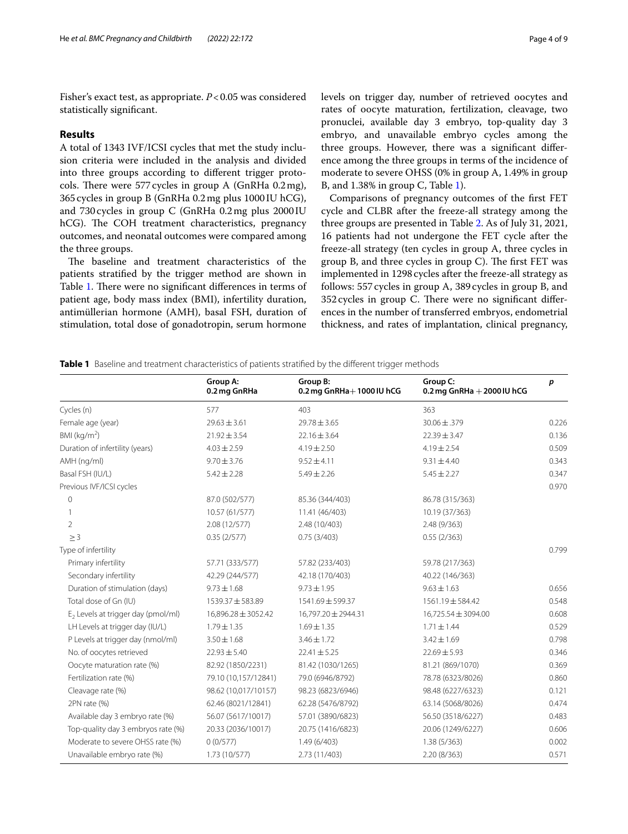Fisher's exact test, as appropriate. *P*<0.05 was considered statistically signifcant.

# **Results**

A total of 1343 IVF/ICSI cycles that met the study inclusion criteria were included in the analysis and divided into three groups according to diferent trigger protocols. There were 577 cycles in group A (GnRHa  $0.2 \,\text{mg}$ ), 365cycles in group B (GnRHa 0.2mg plus 1000IU hCG), and 730 cycles in group C (GnRHa 0.2mg plus 2000IU hCG). The COH treatment characteristics, pregnancy outcomes, and neonatal outcomes were compared among the three groups.

The baseline and treatment characteristics of the patients stratifed by the trigger method are shown in Table [1.](#page-3-0) There were no significant differences in terms of patient age, body mass index (BMI), infertility duration, antimüllerian hormone (AMH), basal FSH, duration of stimulation, total dose of gonadotropin, serum hormone levels on trigger day, number of retrieved oocytes and rates of oocyte maturation, fertilization, cleavage, two pronuclei, available day 3 embryo, top-quality day 3 embryo, and unavailable embryo cycles among the three groups. However, there was a signifcant diference among the three groups in terms of the incidence of moderate to severe OHSS (0% in group A, 1.49% in group B, and 1.38% in group C, Table [1\)](#page-3-0).

Comparisons of pregnancy outcomes of the frst FET cycle and CLBR after the freeze-all strategy among the three groups are presented in Table [2](#page-4-0). As of July 31, 2021, 16 patients had not undergone the FET cycle after the freeze-all strategy (ten cycles in group A, three cycles in group B, and three cycles in group  $C$ ). The first FET was implemented in 1298cycles after the freeze-all strategy as follows: 557cycles in group A, 389cycles in group B, and 352 cycles in group C. There were no significant differences in the number of transferred embryos, endometrial thickness, and rates of implantation, clinical pregnancy,

<span id="page-3-0"></span>**Table 1** Baseline and treatment characteristics of patients stratified by the different trigger methods

|                                      | Group A:<br>0.2 mg GnRHa | Group B:<br>0.2 mg GnRHa+1000 IU hCG | Group C:<br>0.2 mg GnRHa $+$ 2000 IU hCG | p     |
|--------------------------------------|--------------------------|--------------------------------------|------------------------------------------|-------|
| Cycles (n)                           | 577                      | 403                                  | 363                                      |       |
| Female age (year)                    | $29.63 \pm 3.61$         | $29.78 \pm 3.65$                     | 30.06 ± .379                             | 0.226 |
| BMI ( $kg/m2$ )                      | $21.92 \pm 3.54$         | $22.16 \pm 3.64$                     | $22.39 \pm 3.47$                         | 0.136 |
| Duration of infertility (years)      | $4.03 \pm 2.59$          | $4.19 \pm 2.50$                      | $4.19 \pm 2.54$                          | 0.509 |
| AMH (ng/ml)                          | $9.70 \pm 3.76$          | $9.52 \pm 4.11$                      | $9.31 \pm 4.40$                          | 0.343 |
| Basal FSH (IU/L)                     | $5.42 \pm 2.28$          | $5.49 \pm 2.26$                      | $5.45 \pm 2.27$                          | 0.347 |
| Previous IVF/ICSI cycles             |                          |                                      |                                          | 0.970 |
| $\mathbf{0}$                         | 87.0 (502/577)           | 85.36 (344/403)                      | 86.78 (315/363)                          |       |
|                                      | 10.57 (61/577)           | 11.41 (46/403)                       | 10.19 (37/363)                           |       |
| $\overline{2}$                       | 2.08 (12/577)            | 2.48 (10/403)                        | 2.48 (9/363)                             |       |
| $\geq 3$                             | 0.35(2/577)              | 0.75(3/403)                          | 0.55(2/363)                              |       |
| Type of infertility                  |                          |                                      |                                          | 0.799 |
| Primary infertility                  | 57.71 (333/577)          | 57.82 (233/403)                      | 59.78 (217/363)                          |       |
| Secondary infertility                | 42.29 (244/577)          | 42.18 (170/403)                      | 40.22 (146/363)                          |       |
| Duration of stimulation (days)       | $9.73 \pm 1.68$          | $9.73 \pm 1.95$                      | $9.63 \pm 1.63$                          | 0.656 |
| Total dose of Gn (IU)                | 1539.37 ± 583.89         | 1541.69 ± 599.37                     | $1561.19 \pm 584.42$                     | 0.548 |
| $E2$ Levels at trigger day (pmol/ml) | 16,896.28 ± 3052.42      | 16,797.20 ± 2944.31                  | 16,725.54 ± 3094.00                      | 0.608 |
| LH Levels at trigger day (IU/L)      | $1.79 \pm 1.35$          | $1.69 \pm 1.35$                      | $1.71 \pm 1.44$                          | 0.529 |
| P Levels at trigger day (nmol/ml)    | $3.50 \pm 1.68$          | $3.46 \pm 1.72$                      | $3.42 \pm 1.69$                          | 0.798 |
| No. of oocytes retrieved             | $22.93 \pm 5.40$         | $22.41 \pm 5.25$                     | $22.69 \pm 5.93$                         | 0.346 |
| Oocyte maturation rate (%)           | 82.92 (1850/2231)        | 81.42 (1030/1265)                    | 81.21 (869/1070)                         | 0.369 |
| Fertilization rate (%)               | 79.10 (10,157/12841)     | 79.0 (6946/8792)                     | 78.78 (6323/8026)                        | 0.860 |
| Cleavage rate (%)                    | 98.62 (10,017/10157)     | 98.23 (6823/6946)                    | 98.48 (6227/6323)                        | 0.121 |
| 2PN rate (%)                         | 62.46 (8021/12841)       | 62.28 (5476/8792)                    | 63.14 (5068/8026)                        | 0.474 |
| Available day 3 embryo rate (%)      | 56.07 (5617/10017)       | 57.01 (3890/6823)                    | 56.50 (3518/6227)                        | 0.483 |
| Top-quality day 3 embryos rate (%)   | 20.33 (2036/10017)       | 20.75 (1416/6823)                    | 20.06 (1249/6227)                        | 0.606 |
| Moderate to severe OHSS rate (%)     | 0(0/577)                 | 1.49(6/403)                          | 1.38(5/363)                              | 0.002 |
| Unavailable embryo rate (%)          | 1.73 (10/577)            | 2.73 (11/403)                        | 2.20(8/363)                              | 0.571 |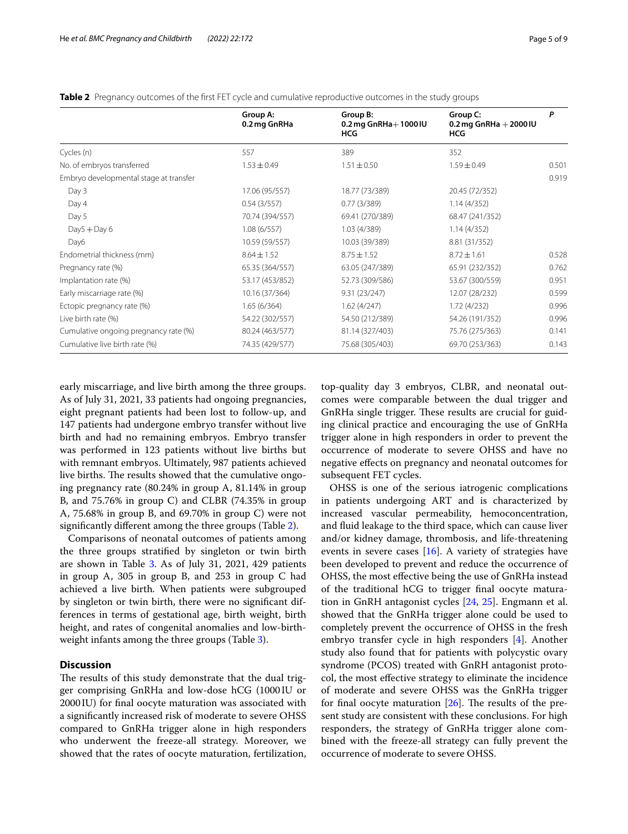|                                                                                                                       | Group A:<br>0.2 mg GnRHa | Group B:<br>0.2 mg GnRHa $+$ 1000 IU<br><b>HCG</b> | Group C:<br>0.2 mg GnRHa $+$ 2000 IU<br><b>HCG</b> | P     |
|-----------------------------------------------------------------------------------------------------------------------|--------------------------|----------------------------------------------------|----------------------------------------------------|-------|
| Cycles (n)                                                                                                            | 557                      | 389                                                | 352                                                |       |
| No. of embryos transferred                                                                                            | $1.53 \pm 0.49$          | $1.51 \pm 0.50$                                    | $1.59 \pm 0.49$                                    | 0.501 |
| Embryo developmental stage at transfer<br>Day 3<br>17.06 (95/557)<br>Day 4<br>0.54(3/557)<br>Day 5<br>70.74 (394/557) |                          |                                                    |                                                    | 0.919 |
|                                                                                                                       |                          | 18.77 (73/389)                                     | 20.45 (72/352)                                     |       |
|                                                                                                                       |                          | 0.77(3/389)                                        | 1.14(4/352)                                        |       |
|                                                                                                                       |                          | 69.41 (270/389)                                    | 68.47 (241/352)                                    |       |
| $Day5 + Day6$                                                                                                         | 1.08(6/557)              | 1.03 (4/389)                                       | 1.14(4/352)                                        |       |
| Day6                                                                                                                  | 10.59 (59/557)           | 10.03 (39/389)                                     | 8.81 (31/352)                                      |       |
| Endometrial thickness (mm)                                                                                            | $8.64 \pm 1.52$          | $8.75 \pm 1.52$                                    | $8.72 \pm 1.61$                                    | 0.528 |
| Pregnancy rate (%)                                                                                                    | 65.35 (364/557)          | 63.05 (247/389)                                    | 65.91 (232/352)                                    | 0.762 |
| Implantation rate (%)                                                                                                 | 53.17 (453/852)          | 52.73 (309/586)                                    | 53.67 (300/559)                                    | 0.951 |
| Early miscarriage rate (%)                                                                                            | 10.16 (37/364)           | 9.31(23/247)                                       | 12.07 (28/232)                                     | 0.599 |
| Ectopic pregnancy rate (%)                                                                                            | 1.65(6/364)              | 1.62(4/247)                                        | 1.72(4/232)                                        | 0.996 |
| Live birth rate (%)                                                                                                   | 54.22 (302/557)          | 54.50 (212/389)                                    | 54.26 (191/352)                                    | 0.996 |
| Cumulative ongoing pregnancy rate (%)                                                                                 | 80.24 (463/577)          | 81.14 (327/403)                                    | 75.76 (275/363)                                    | 0.141 |
| Cumulative live birth rate (%)                                                                                        | 74.35 (429/577)          | 75.68 (305/403)                                    | 69.70 (253/363)                                    | 0.143 |

<span id="page-4-0"></span>**Table 2** Pregnancy outcomes of the first FET cycle and cumulative reproductive outcomes in the study groups

early miscarriage, and live birth among the three groups. As of July 31, 2021, 33 patients had ongoing pregnancies, eight pregnant patients had been lost to follow-up, and 147 patients had undergone embryo transfer without live birth and had no remaining embryos. Embryo transfer was performed in 123 patients without live births but with remnant embryos. Ultimately, 987 patients achieved live births. The results showed that the cumulative ongoing pregnancy rate (80.24% in group A, 81.14% in group B, and 75.76% in group C) and CLBR (74.35% in group A, 75.68% in group B, and 69.70% in group C) were not signifcantly diferent among the three groups (Table [2\)](#page-4-0).

Comparisons of neonatal outcomes of patients among the three groups stratifed by singleton or twin birth are shown in Table [3](#page-5-0). As of July 31, 2021, 429 patients in group A, 305 in group B, and 253 in group C had achieved a live birth. When patients were subgrouped by singleton or twin birth, there were no signifcant differences in terms of gestational age, birth weight, birth height, and rates of congenital anomalies and low-birthweight infants among the three groups (Table [3](#page-5-0)).

# **Discussion**

The results of this study demonstrate that the dual trigger comprising GnRHa and low-dose hCG (1000IU or 2000IU) for fnal oocyte maturation was associated with a signifcantly increased risk of moderate to severe OHSS compared to GnRHa trigger alone in high responders who underwent the freeze-all strategy. Moreover, we showed that the rates of oocyte maturation, fertilization, top-quality day 3 embryos, CLBR, and neonatal outcomes were comparable between the dual trigger and GnRHa single trigger. These results are crucial for guiding clinical practice and encouraging the use of GnRHa trigger alone in high responders in order to prevent the occurrence of moderate to severe OHSS and have no negative efects on pregnancy and neonatal outcomes for subsequent FET cycles.

OHSS is one of the serious iatrogenic complications in patients undergoing ART and is characterized by increased vascular permeability, hemoconcentration, and fuid leakage to the third space, which can cause liver and/or kidney damage, thrombosis, and life-threatening events in severe cases  $[16]$  $[16]$ . A variety of strategies have been developed to prevent and reduce the occurrence of OHSS, the most efective being the use of GnRHa instead of the traditional hCG to trigger fnal oocyte maturation in GnRH antagonist cycles [\[24,](#page-8-10) [25](#page-8-11)]. Engmann et al. showed that the GnRHa trigger alone could be used to completely prevent the occurrence of OHSS in the fresh embryo transfer cycle in high responders [[4](#page-7-9)]. Another study also found that for patients with polycystic ovary syndrome (PCOS) treated with GnRH antagonist protocol, the most efective strategy to eliminate the incidence of moderate and severe OHSS was the GnRHa trigger for final oocyte maturation  $[26]$  $[26]$ . The results of the present study are consistent with these conclusions. For high responders, the strategy of GnRHa trigger alone combined with the freeze-all strategy can fully prevent the occurrence of moderate to severe OHSS.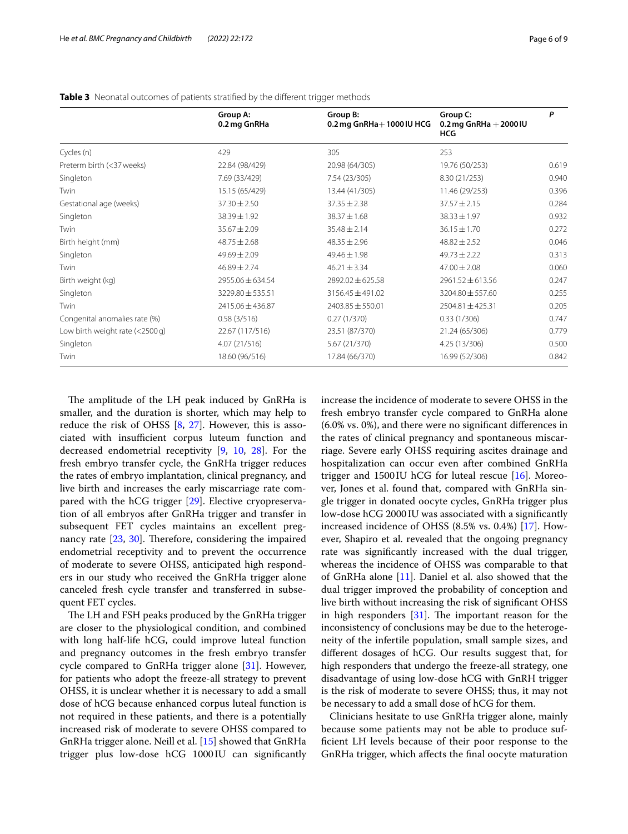|                                   | Group A:<br>0.2 mg GnRHa | Group B:<br>0.2 mg GnRHa+1000 IU HCG | Group C:<br>0.2 mg GnRHa $+$ 2000 IU<br><b>HCG</b> | P     |
|-----------------------------------|--------------------------|--------------------------------------|----------------------------------------------------|-------|
| Cycles (n)                        | 429                      | 305                                  | 253                                                |       |
| Preterm birth (<37 weeks)         | 22.84 (98/429)           | 20.98 (64/305)                       | 19.76 (50/253)                                     | 0.619 |
| Singleton                         | 7.69 (33/429)            | 7.54 (23/305)                        | 8.30 (21/253)                                      | 0.940 |
| Twin                              | 15.15 (65/429)           | 13.44 (41/305)                       | 11.46 (29/253)                                     | 0.396 |
| Gestational age (weeks)           | $37.30 \pm 2.50$         | $37.35 \pm 2.38$                     | $37.57 \pm 2.15$                                   | 0.284 |
| Singleton                         | 38.39 ± 1.92             | $38.37 \pm 1.68$                     | $38.33 \pm 1.97$                                   | 0.932 |
| Twin                              | $35.67 + 2.09$           | $35.48 \pm 2.14$                     | $36.15 \pm 1.70$                                   | 0.272 |
| Birth height (mm)                 | $48.75 \pm 2.68$         | $48.35 \pm 2.96$                     | $48.82 \pm 2.52$                                   | 0.046 |
| Singleton                         | $49.69 \pm 2.09$         | $49.46 \pm 1.98$                     | $49.73 \pm 2.22$                                   | 0.313 |
| Twin                              | $46.89 \pm 2.74$         | $46.21 \pm 3.34$                     | $47.00 \pm 2.08$                                   | 0.060 |
| Birth weight (kg)                 | 2955.06 ± 634.54         | 2892.02 ± 625.58                     | 2961.52 ± 613.56                                   | 0.247 |
| Singleton                         | 3229.80 ± 535.51         | 3156.45 ± 491.02                     | 3204.80 ± 557.60                                   | 0.255 |
| Twin                              | 2415.06 ± 436.87         | $2403.85 \pm 550.01$                 | $2504.81 \pm 425.31$                               | 0.205 |
| Congenital anomalies rate (%)     | 0.58(3/516)              | 0.27(1/370)                          | 0.33(1/306)                                        | 0.747 |
| Low birth weight rate $(<2500 g)$ | 22.67 (117/516)          | 23.51 (87/370)                       | 21.24 (65/306)                                     | 0.779 |
| Singleton                         | 4.07 (21/516)            | 5.67 (21/370)                        | 4.25 (13/306)                                      | 0.500 |
| Twin                              | 18.60 (96/516)           | 17.84 (66/370)                       | 16.99 (52/306)                                     | 0.842 |

## <span id="page-5-0"></span>**Table 3** Neonatal outcomes of patients stratified by the different trigger methods

The amplitude of the LH peak induced by GnRHa is smaller, and the duration is shorter, which may help to reduce the risk of OHSS [\[8](#page-7-6), [27\]](#page-8-13). However, this is associated with insufficient corpus luteum function and decreased endometrial receptivity [\[9,](#page-7-10) [10](#page-7-7), [28](#page-8-14)]. For the fresh embryo transfer cycle, the GnRHa trigger reduces the rates of embryo implantation, clinical pregnancy, and live birth and increases the early miscarriage rate compared with the hCG trigger [\[29](#page-8-15)]. Elective cryopreservation of all embryos after GnRHa trigger and transfer in subsequent FET cycles maintains an excellent pregnancy rate  $[23, 30]$  $[23, 30]$  $[23, 30]$  $[23, 30]$  $[23, 30]$ . Therefore, considering the impaired endometrial receptivity and to prevent the occurrence of moderate to severe OHSS, anticipated high responders in our study who received the GnRHa trigger alone canceled fresh cycle transfer and transferred in subsequent FET cycles.

The LH and FSH peaks produced by the GnRHa trigger are closer to the physiological condition, and combined with long half-life hCG, could improve luteal function and pregnancy outcomes in the fresh embryo transfer cycle compared to GnRHa trigger alone [[31\]](#page-8-17). However, for patients who adopt the freeze-all strategy to prevent OHSS, it is unclear whether it is necessary to add a small dose of hCG because enhanced corpus luteal function is not required in these patients, and there is a potentially increased risk of moderate to severe OHSS compared to GnRHa trigger alone. Neill et al. [[15](#page-8-1)] showed that GnRHa trigger plus low-dose hCG 1000 IU can significantly increase the incidence of moderate to severe OHSS in the fresh embryo transfer cycle compared to GnRHa alone (6.0% vs. 0%), and there were no signifcant diferences in the rates of clinical pregnancy and spontaneous miscarriage. Severe early OHSS requiring ascites drainage and hospitalization can occur even after combined GnRHa trigger and 1500 IU hCG for luteal rescue  $[16]$  $[16]$ . Moreover, Jones et al. found that, compared with GnRHa single trigger in donated oocyte cycles, GnRHa trigger plus low-dose hCG 2000 IU was associated with a signifcantly increased incidence of OHSS (8.5% vs. 0.4%) [[17\]](#page-8-3). However, Shapiro et al. revealed that the ongoing pregnancy rate was signifcantly increased with the dual trigger, whereas the incidence of OHSS was comparable to that of GnRHa alone [\[11](#page-7-8)]. Daniel et al. also showed that the dual trigger improved the probability of conception and live birth without increasing the risk of signifcant OHSS in high responders  $[31]$  $[31]$  $[31]$ . The important reason for the inconsistency of conclusions may be due to the heterogeneity of the infertile population, small sample sizes, and diferent dosages of hCG. Our results suggest that, for high responders that undergo the freeze-all strategy, one disadvantage of using low-dose hCG with GnRH trigger is the risk of moderate to severe OHSS; thus, it may not be necessary to add a small dose of hCG for them.

Clinicians hesitate to use GnRHa trigger alone, mainly because some patients may not be able to produce suffcient LH levels because of their poor response to the GnRHa trigger, which afects the fnal oocyte maturation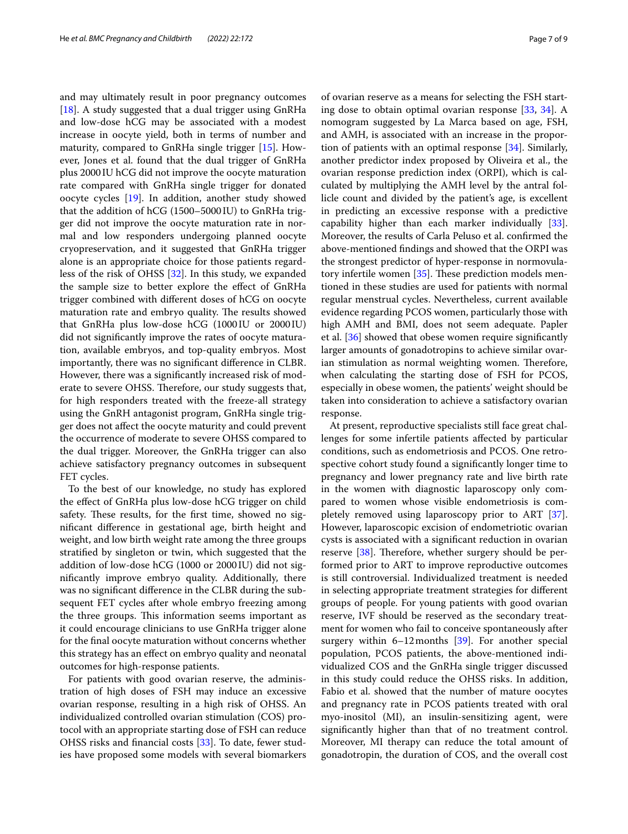and may ultimately result in poor pregnancy outcomes [[18\]](#page-8-4). A study suggested that a dual trigger using  $GnRHa$ and low-dose hCG may be associated with a modest increase in oocyte yield, both in terms of number and maturity, compared to GnRHa single trigger [[15](#page-8-1)]. However, Jones et al. found that the dual trigger of GnRHa plus 2000IU hCG did not improve the oocyte maturation rate compared with GnRHa single trigger for donated oocyte cycles [\[19](#page-8-5)]. In addition, another study showed that the addition of hCG (1500–5000IU) to GnRHa trigger did not improve the oocyte maturation rate in normal and low responders undergoing planned oocyte cryopreservation, and it suggested that GnRHa trigger alone is an appropriate choice for those patients regardless of the risk of OHSS [\[32\]](#page-8-18). In this study, we expanded the sample size to better explore the efect of GnRHa trigger combined with diferent doses of hCG on oocyte maturation rate and embryo quality. The results showed that GnRHa plus low-dose hCG (1000 IU or 2000 IU) did not signifcantly improve the rates of oocyte maturation, available embryos, and top-quality embryos. Most importantly, there was no signifcant diference in CLBR. However, there was a signifcantly increased risk of moderate to severe OHSS. Therefore, our study suggests that, for high responders treated with the freeze-all strategy using the GnRH antagonist program, GnRHa single trigger does not afect the oocyte maturity and could prevent the occurrence of moderate to severe OHSS compared to the dual trigger. Moreover, the GnRHa trigger can also achieve satisfactory pregnancy outcomes in subsequent FET cycles.

To the best of our knowledge, no study has explored the efect of GnRHa plus low-dose hCG trigger on child safety. These results, for the first time, showed no signifcant diference in gestational age, birth height and weight, and low birth weight rate among the three groups stratifed by singleton or twin, which suggested that the addition of low-dose hCG (1000 or 2000IU) did not signifcantly improve embryo quality. Additionally, there was no signifcant diference in the CLBR during the subsequent FET cycles after whole embryo freezing among the three groups. This information seems important as it could encourage clinicians to use GnRHa trigger alone for the fnal oocyte maturation without concerns whether this strategy has an efect on embryo quality and neonatal outcomes for high-response patients.

For patients with good ovarian reserve, the administration of high doses of FSH may induce an excessive ovarian response, resulting in a high risk of OHSS. An individualized controlled ovarian stimulation (COS) protocol with an appropriate starting dose of FSH can reduce OHSS risks and fnancial costs [[33](#page-8-19)]. To date, fewer studies have proposed some models with several biomarkers of ovarian reserve as a means for selecting the FSH starting dose to obtain optimal ovarian response [\[33](#page-8-19), [34\]](#page-8-20). A nomogram suggested by La Marca based on age, FSH, and AMH, is associated with an increase in the proportion of patients with an optimal response [\[34](#page-8-20)]. Similarly, another predictor index proposed by Oliveira et al., the ovarian response prediction index (ORPI), which is calculated by multiplying the AMH level by the antral follicle count and divided by the patient's age, is excellent in predicting an excessive response with a predictive capability higher than each marker individually [\[33](#page-8-19)]. Moreover, the results of Carla Peluso et al. confrmed the above-mentioned fndings and showed that the ORPI was the strongest predictor of hyper-response in normovulatory infertile women  $[35]$  $[35]$ . These prediction models mentioned in these studies are used for patients with normal regular menstrual cycles. Nevertheless, current available evidence regarding PCOS women, particularly those with high AMH and BMI, does not seem adequate. Papler et al. [\[36](#page-8-22)] showed that obese women require signifcantly larger amounts of gonadotropins to achieve similar ovarian stimulation as normal weighting women. Therefore, when calculating the starting dose of FSH for PCOS, especially in obese women, the patients' weight should be taken into consideration to achieve a satisfactory ovarian response.

At present, reproductive specialists still face great challenges for some infertile patients afected by particular conditions, such as endometriosis and PCOS. One retrospective cohort study found a signifcantly longer time to pregnancy and lower pregnancy rate and live birth rate in the women with diagnostic laparoscopy only compared to women whose visible endometriosis is completely removed using laparoscopy prior to ART [\[37](#page-8-23)]. However, laparoscopic excision of endometriotic ovarian cysts is associated with a signifcant reduction in ovarian reserve  $[38]$  $[38]$ . Therefore, whether surgery should be performed prior to ART to improve reproductive outcomes is still controversial. Individualized treatment is needed in selecting appropriate treatment strategies for diferent groups of people. For young patients with good ovarian reserve, IVF should be reserved as the secondary treatment for women who fail to conceive spontaneously after surgery within  $6-12$  months [[39\]](#page-8-25). For another special population, PCOS patients, the above-mentioned individualized COS and the GnRHa single trigger discussed in this study could reduce the OHSS risks. In addition, Fabio et al. showed that the number of mature oocytes and pregnancy rate in PCOS patients treated with oral myo-inositol (MI), an insulin-sensitizing agent, were signifcantly higher than that of no treatment control. Moreover, MI therapy can reduce the total amount of gonadotropin, the duration of COS, and the overall cost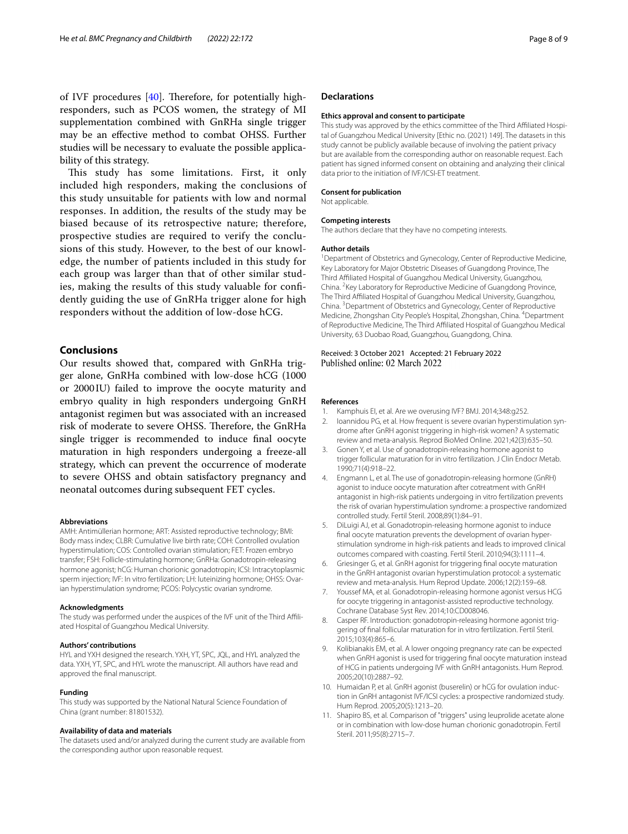of IVF procedures  $[40]$  $[40]$ . Therefore, for potentially highresponders, such as PCOS women, the strategy of MI supplementation combined with GnRHa single trigger may be an efective method to combat OHSS. Further studies will be necessary to evaluate the possible applicability of this strategy.

This study has some limitations. First, it only included high responders, making the conclusions of this study unsuitable for patients with low and normal responses. In addition, the results of the study may be biased because of its retrospective nature; therefore, prospective studies are required to verify the conclusions of this study. However, to the best of our knowledge, the number of patients included in this study for each group was larger than that of other similar studies, making the results of this study valuable for confdently guiding the use of GnRHa trigger alone for high responders without the addition of low-dose hCG.

# **Conclusions**

Our results showed that, compared with GnRHa trigger alone, GnRHa combined with low-dose hCG (1000 or 2000IU) failed to improve the oocyte maturity and embryo quality in high responders undergoing GnRH antagonist regimen but was associated with an increased risk of moderate to severe OHSS. Therefore, the GnRHa single trigger is recommended to induce fnal oocyte maturation in high responders undergoing a freeze-all strategy, which can prevent the occurrence of moderate to severe OHSS and obtain satisfactory pregnancy and neonatal outcomes during subsequent FET cycles.

#### **Abbreviations**

AMH: Antimüllerian hormone; ART: Assisted reproductive technology; BMI: Body mass index; CLBR: Cumulative live birth rate; COH: Controlled ovulation hyperstimulation; COS: Controlled ovarian stimulation; FET: Frozen embryo transfer; FSH: Follicle-stimulating hormone; GnRHa: Gonadotropin-releasing hormone agonist; hCG: Human chorionic gonadotropin; ICSI: Intracytoplasmic sperm injection; IVF: In vitro fertilization; LH: luteinizing hormone; OHSS: Ovarian hyperstimulation syndrome; PCOS: Polycystic ovarian syndrome.

#### **Acknowledgments**

The study was performed under the auspices of the IVF unit of the Third Afliated Hospital of Guangzhou Medical University.

#### **Authors' contributions**

HYL and YXH designed the research. YXH, YT, SPC, JQL, and HYL analyzed the data. YXH, YT, SPC, and HYL wrote the manuscript. All authors have read and approved the fnal manuscript.

#### **Funding**

This study was supported by the National Natural Science Foundation of China (grant number: 81801532).

#### **Availability of data and materials**

The datasets used and/or analyzed during the current study are available from the corresponding author upon reasonable request.

# **Declarations**

#### **Ethics approval and consent to participate**

This study was approved by the ethics committee of the Third Afliated Hospital of Guangzhou Medical University [Ethic no. (2021) 149]. The datasets in this study cannot be publicly available because of involving the patient privacy but are available from the corresponding author on reasonable request. Each patient has signed informed consent on obtaining and analyzing their clinical data prior to the initiation of IVF/ICSI-ET treatment.

#### **Consent for publication**

Not applicable.

#### **Competing interests**

The authors declare that they have no competing interests.

#### **Author details**

<sup>1</sup> Department of Obstetrics and Gynecology, Center of Reproductive Medicine, Key Laboratory for Major Obstetric Diseases of Guangdong Province, The Third Afliated Hospital of Guangzhou Medical University, Guangzhou, China. <sup>2</sup> Key Laboratory for Reproductive Medicine of Guangdong Province, The Third Affiliated Hospital of Guangzhou Medical University, Guangzhou, China. <sup>3</sup> Department of Obstetrics and Gynecology, Center of Reproductive Medicine, Zhongshan City People's Hospital, Zhongshan, China. 4 Department of Reproductive Medicine, The Third Afliated Hospital of Guangzhou Medical University, 63 Duobao Road, Guangzhou, Guangdong, China.

#### Received: 3 October 2021 Accepted: 21 February 2022 Published online: 02 March 2022

#### **References**

- <span id="page-7-0"></span>1. Kamphuis EI, et al. Are we overusing IVF? BMJ. 2014;348:g252.
- <span id="page-7-1"></span>2. Ioannidou PG, et al. How frequent is severe ovarian hyperstimulation syndrome after GnRH agonist triggering in high-risk women? A systematic review and meta-analysis. Reprod BioMed Online. 2021;42(3):635–50.
- <span id="page-7-2"></span>Gonen Y, et al. Use of gonadotropin-releasing hormone agonist to trigger follicular maturation for in vitro fertilization. J Clin Endocr Metab. 1990;71(4):918–22.
- <span id="page-7-9"></span>4. Engmann L, et al. The use of gonadotropin-releasing hormone (GnRH) agonist to induce oocyte maturation after cotreatment with GnRH antagonist in high-risk patients undergoing in vitro fertilization prevents the risk of ovarian hyperstimulation syndrome: a prospective randomized controlled study. Fertil Steril. 2008;89(1):84–91.
- <span id="page-7-3"></span>5. DiLuigi AJ, et al. Gonadotropin-releasing hormone agonist to induce fnal oocyte maturation prevents the development of ovarian hyperstimulation syndrome in high-risk patients and leads to improved clinical outcomes compared with coasting. Fertil Steril. 2010;94(3):1111–4.
- <span id="page-7-4"></span>6. Griesinger G, et al. GnRH agonist for triggering fnal oocyte maturation in the GnRH antagonist ovarian hyperstimulation protocol: a systematic review and meta-analysis. Hum Reprod Update. 2006;12(2):159–68.
- <span id="page-7-5"></span>Youssef MA, et al. Gonadotropin-releasing hormone agonist versus HCG for oocyte triggering in antagonist-assisted reproductive technology. Cochrane Database Syst Rev. 2014;10:CD008046.
- <span id="page-7-6"></span>8. Casper RF. Introduction: gonadotropin-releasing hormone agonist triggering of fnal follicular maturation for in vitro fertilization. Fertil Steril. 2015;103(4):865–6.
- <span id="page-7-10"></span>9. Kolibianakis EM, et al. A lower ongoing pregnancy rate can be expected when GnRH agonist is used for triggering fnal oocyte maturation instead of HCG in patients undergoing IVF with GnRH antagonists. Hum Reprod. 2005;20(10):2887–92.
- <span id="page-7-7"></span>10. Humaidan P, et al. GnRH agonist (buserelin) or hCG for ovulation induction in GnRH antagonist IVF/ICSI cycles: a prospective randomized study. Hum Reprod. 2005;20(5):1213–20.
- <span id="page-7-8"></span>11. Shapiro BS, et al. Comparison of "triggers" using leuprolide acetate alone or in combination with low-dose human chorionic gonadotropin. Fertil Steril. 2011;95(8):2715–7.